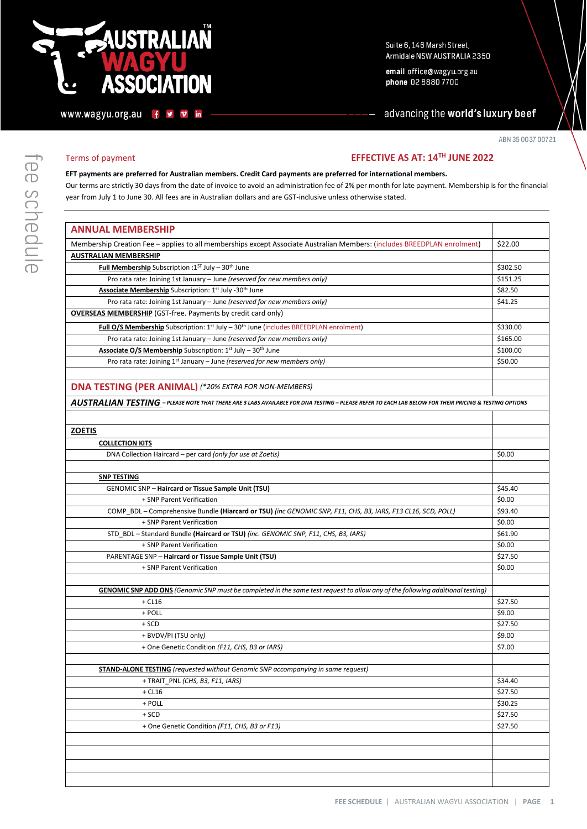# **USTRALIAÑ SSOCIATION**

 $\ddot{f}$ ¥  $\mathbf v$ in Suite 6, 146 Marsh Street, Armidale NSW AUSTRALIA 2350

email office@wagyu.org.au phone 02 8880 7700

advancing the world's luxury beef

ABN 35 0037 00721

# ee schedule

www.wagyu.org.au

# Terms of payment **EFFECTIVE AS AT: 14TH JUNE 2022**

# **EFT payments are preferred for Australian members. Credit Card payments are preferred for international members.**

Our terms are strictly 30 days from the date of invoice to avoid an administration fee of 2% per month for late payment. Membership is for the financial year from July 1 to June 30. All fees are in Australian dollars and are GST-inclusive unless otherwise stated.

| <b>ANNUAL MEMBERSHIP</b>                                                                                                                              |          |
|-------------------------------------------------------------------------------------------------------------------------------------------------------|----------|
| Membership Creation Fee - applies to all memberships except Associate Australian Members: (includes BREEDPLAN enrolment)                              | \$22.00  |
| <b>AUSTRALIAN MEMBERSHIP</b>                                                                                                                          |          |
| Full Membership Subscription : 1ST July - 30th June                                                                                                   | \$302.50 |
| Pro rata rate: Joining 1st January - June (reserved for new members only)                                                                             | \$151.25 |
| Associate Membership Subscription: 1st July -30th June                                                                                                | \$82.50  |
| Pro rata rate: Joining 1st January - June (reserved for new members only)                                                                             | \$41.25  |
| <b>OVERSEAS MEMBERSHIP</b> (GST-free. Payments by credit card only)                                                                                   |          |
| Full O/S Membership Subscription: 1 <sup>st</sup> July - 30 <sup>th</sup> June (includes BREEDPLAN enrolment)                                         | \$330.00 |
| Pro rata rate: Joining 1st January - June (reserved for new members only)                                                                             | \$165.00 |
| Associate O/S Membership Subscription: 1st July - 30th June                                                                                           | \$100.00 |
| Pro rata rate: Joining 1 <sup>st</sup> January - June (reserved for new members only)                                                                 | \$50.00  |
|                                                                                                                                                       |          |
| <b>DNA TESTING (PER ANIMAL) (*20% EXTRA FOR NON-MEMBERS)</b>                                                                                          |          |
| AUSTRALIAN TESTING - PLEASE NOTE THAT THERE ARE 3 LABS AVAILABLE FOR DNA TESTING - PLEASE REFER TO EACH LAB BELOW FOR THEIR PRICING & TESTING OPTIONS |          |
|                                                                                                                                                       |          |
|                                                                                                                                                       |          |
| <b>ZOETIS</b>                                                                                                                                         |          |
| <b>COLLECTION KITS</b>                                                                                                                                |          |
| DNA Collection Haircard - per card (only for use at Zoetis)                                                                                           | \$0.00   |
|                                                                                                                                                       |          |
| <b>SNP TESTING</b>                                                                                                                                    |          |
| <b>GENOMIC SNP - Haircard or Tissue Sample Unit (TSU)</b>                                                                                             | \$45.40  |
| + SNP Parent Verification                                                                                                                             | \$0.00   |
| COMP_BDL - Comprehensive Bundle (Hiarcard or TSU) (inc GENOMIC SNP, F11, CHS, B3, IARS, F13 CL16, SCD, POLL)                                          | \$93.40  |
| + SNP Parent Verification                                                                                                                             | \$0.00   |
| STD_BDL - Standard Bundle (Haircard or TSU) (inc. GENOMIC SNP, F11, CHS, B3, IARS)                                                                    | \$61.90  |
| + SNP Parent Verification                                                                                                                             | \$0.00   |
| PARENTAGE SNP - Haircard or Tissue Sample Unit (TSU)                                                                                                  | \$27.50  |
| + SNP Parent Verification                                                                                                                             | \$0.00   |
|                                                                                                                                                       |          |
| <b>GENOMIC SNP ADD ONS</b> (Genomic SNP must be completed in the same test request to allow any of the following additional testing)                  |          |
| $+$ CL16                                                                                                                                              | \$27.50  |
| + POLL                                                                                                                                                | \$9.00   |
| $+$ SCD                                                                                                                                               | \$27.50  |
| + BVDV/PI (TSU only)                                                                                                                                  | \$9.00   |
| + One Genetic Condition (F11, CHS, B3 or IARS)                                                                                                        | \$7.00   |
|                                                                                                                                                       |          |
| <b>STAND-ALONE TESTING</b> (requested without Genomic SNP accompanying in same request)                                                               |          |
| + TRAIT PNL (CHS, B3, F11, IARS)                                                                                                                      | \$34.40  |
| $+$ CL16                                                                                                                                              | \$27.50  |
| + POLL                                                                                                                                                | \$30.25  |
| $+$ SCD                                                                                                                                               | \$27.50  |
| + One Genetic Condition (F11, CHS, B3 or F13)                                                                                                         | \$27.50  |
|                                                                                                                                                       |          |
|                                                                                                                                                       |          |
|                                                                                                                                                       |          |
|                                                                                                                                                       |          |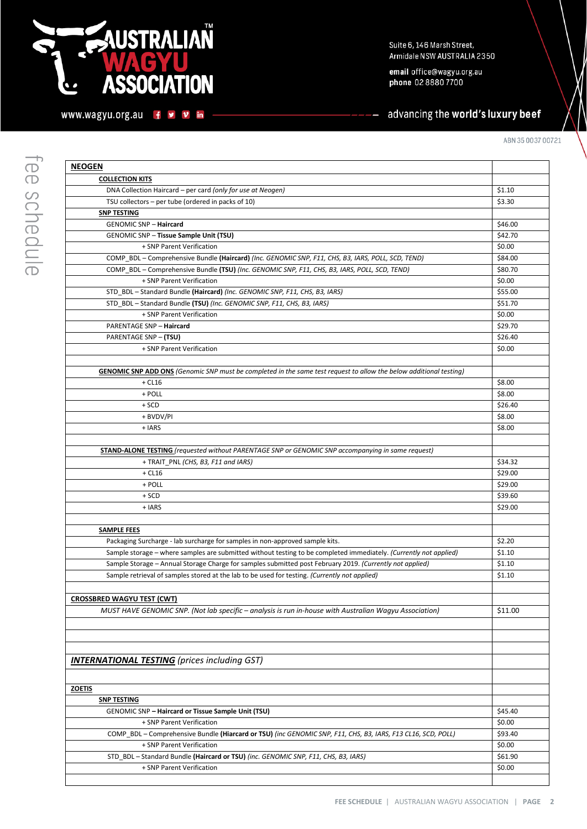# **NUSTRALIAN**  $\mathbf G$ **ASSOCIATION**

www.wagyu.org.au f y v in

email office@wagyu.org.au phone 02 8880 7700

# advancing the world's luxury beef

| <b>NEOGEN</b>                                                                                                             |         |
|---------------------------------------------------------------------------------------------------------------------------|---------|
| <b>COLLECTION KITS</b>                                                                                                    |         |
| DNA Collection Haircard - per card (only for use at Neogen)                                                               | \$1.10  |
| TSU collectors - per tube (ordered in packs of 10)                                                                        | \$3.30  |
| <b>SNP TESTING</b>                                                                                                        |         |
| <b>GENOMIC SNP - Haircard</b>                                                                                             | \$46.00 |
| GENOMIC SNP - Tissue Sample Unit (TSU)                                                                                    | \$42.70 |
| + SNP Parent Verification                                                                                                 | \$0.00  |
| COMP_BDL - Comprehensive Bundle (Haircard) (Inc. GENOMIC SNP, F11, CHS, B3, IARS, POLL, SCD, TEND)                        | \$84.00 |
| COMP_BDL - Comprehensive Bundle (TSU) (Inc. GENOMIC SNP, F11, CHS, B3, IARS, POLL, SCD, TEND)                             | \$80.70 |
| + SNP Parent Verification                                                                                                 | \$0.00  |
| STD BDL - Standard Bundle (Haircard) (Inc. GENOMIC SNP, F11, CHS, B3, IARS)                                               | \$55.00 |
| STD_BDL-Standard Bundle (TSU) (Inc. GENOMIC SNP, F11, CHS, B3, IARS)                                                      | \$51.70 |
| + SNP Parent Verification                                                                                                 | \$0.00  |
| <b>PARENTAGE SNP - Haircard</b>                                                                                           | \$29.70 |
| PARENTAGE SNP - (TSU)                                                                                                     | \$26.40 |
| + SNP Parent Verification                                                                                                 | \$0.00  |
|                                                                                                                           |         |
| <b>GENOMIC SNP ADD ONS</b> (Genomic SNP must be completed in the same test request to allow the below additional testing) |         |
| $+$ CL16                                                                                                                  | \$8.00  |
| + POLL                                                                                                                    | \$8.00  |
| $+$ SCD                                                                                                                   | \$26.40 |
| + BVDV/PI                                                                                                                 | \$8.00  |
| + IARS                                                                                                                    | \$8.00  |
|                                                                                                                           |         |
| <b>STAND-ALONE TESTING</b> (requested without PARENTAGE SNP or GENOMIC SNP accompanying in same request)                  |         |
| + TRAIT_PNL (CHS, B3, F11 and IARS)                                                                                       | \$34.32 |
| $+$ CL16                                                                                                                  | \$29.00 |
| + POLL                                                                                                                    | \$29.00 |
| + SCD                                                                                                                     | \$39.60 |
| + IARS                                                                                                                    | \$29.00 |
|                                                                                                                           |         |
| <b>SAMPLE FEES</b>                                                                                                        |         |
| Packaging Surcharge - lab surcharge for samples in non-approved sample kits.                                              | \$2.20  |
| Sample storage – where samples are submitted without testing to be completed immediately. (Currently not applied)         | \$1.10  |
| Sample Storage - Annual Storage Charge for samples submitted post February 2019. (Currently not applied)                  | \$1.10  |
| Sample retrieval of samples stored at the lab to be used for testing. (Currently not applied)                             | \$1.10  |
|                                                                                                                           |         |
| <b>CROSSBRED WAGYU TEST (CWT)</b>                                                                                         |         |
| MUST HAVE GENOMIC SNP. (Not lab specific – analysis is run in-house with Australian Wagyu Association)                    | \$11.00 |
|                                                                                                                           |         |
|                                                                                                                           |         |
|                                                                                                                           |         |
|                                                                                                                           |         |
| <b>INTERNATIONAL TESTING</b> (prices including GST)                                                                       |         |
|                                                                                                                           |         |
| <b>ZOETIS</b>                                                                                                             |         |
| <b>SNP TESTING</b>                                                                                                        |         |
| GENOMIC SNP - Haircard or Tissue Sample Unit (TSU)                                                                        | \$45.40 |
| + SNP Parent Verification                                                                                                 | \$0.00  |
| COMP BDL - Comprehensive Bundle (Hiarcard or TSU) (inc GENOMIC SNP, F11, CHS, B3, IARS, F13 CL16, SCD, POLL)              | \$93.40 |
| + SNP Parent Verification                                                                                                 | \$0.00  |
| STD BDL - Standard Bundle (Haircard or TSU) (inc. GENOMIC SNP, F11, CHS, B3, IARS)                                        | \$61.90 |
| + SNP Parent Verification                                                                                                 | \$0.00  |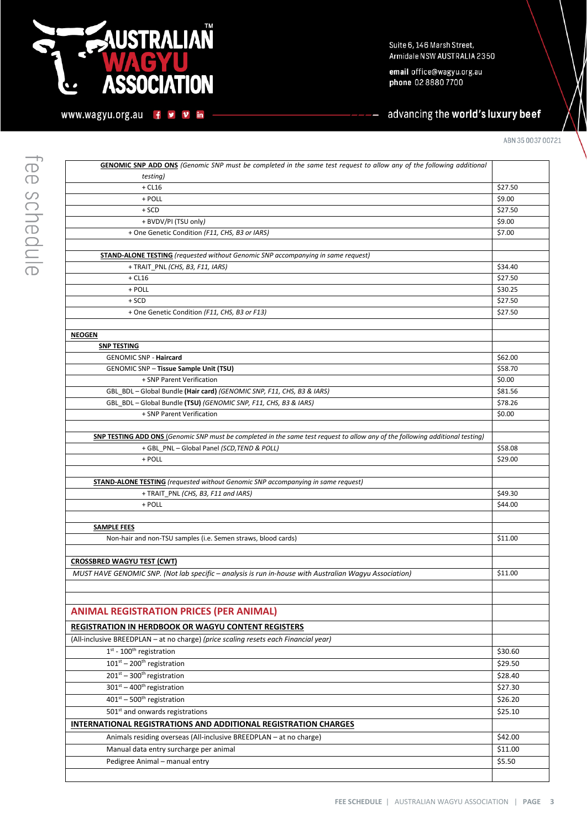# **NUSTRALIAÑ** С **ASSOCIATION** O

www.wagyu.org.au f y v in

Suite 6, 146 Marsh Street, Armidale NSW AUSTRALIA 2350

email office@wagyu.org.au phone 02 8880 7700

# advancing the world's luxury beef

ABN 35 0037 00721

| <b>GENOMIC SNP ADD ONS</b> (Genomic SNP must be completed in the same test request to allow any of the following additional          |                    |
|--------------------------------------------------------------------------------------------------------------------------------------|--------------------|
| <i>testing</i> )                                                                                                                     |                    |
| $+$ CL16                                                                                                                             | \$27.50            |
| + POLL                                                                                                                               | \$9.00             |
| $+$ SCD                                                                                                                              | \$27.50            |
| + BVDV/PI (TSU only)                                                                                                                 | \$9.00             |
| + One Genetic Condition (F11, CHS, B3 or IARS)                                                                                       | \$7.00             |
|                                                                                                                                      |                    |
| <b>STAND-ALONE TESTING</b> (requested without Genomic SNP accompanying in same request)                                              |                    |
| + TRAIT_PNL (CHS, B3, F11, IARS)                                                                                                     | \$34.40            |
| $+$ CL16                                                                                                                             | \$27.50            |
| + POLL                                                                                                                               | \$30.25            |
| $+$ SCD                                                                                                                              | \$27.50            |
| + One Genetic Condition (F11, CHS, B3 or F13)                                                                                        | \$27.50            |
|                                                                                                                                      |                    |
| <b>NEOGEN</b>                                                                                                                        |                    |
| <b>SNP TESTING</b>                                                                                                                   |                    |
| <b>GENOMIC SNP - Haircard</b>                                                                                                        | \$62.00            |
| <b>GENOMIC SNP - Tissue Sample Unit (TSU)</b>                                                                                        | \$58.70            |
| + SNP Parent Verification                                                                                                            | \$0.00             |
| GBL_BDL - Global Bundle (Hair card) (GENOMIC SNP, F11, CHS, B3 & IARS)                                                               | \$81.56            |
| GBL BDL - Global Bundle (TSU) (GENOMIC SNP, F11, CHS, B3 & IARS)                                                                     | \$78.26            |
| + SNP Parent Verification                                                                                                            | \$0.00             |
|                                                                                                                                      |                    |
| <b>SNP TESTING ADD ONS</b> (Genomic SNP must be completed in the same test request to allow any of the following additional testing) |                    |
| + GBL_PNL - Global Panel (SCD, TEND & POLL)<br>+ POLL                                                                                | \$58.08<br>\$29.00 |
|                                                                                                                                      |                    |
| <b>STAND-ALONE TESTING</b> (requested without Genomic SNP accompanying in same request)                                              |                    |
| + TRAIT_PNL (CHS, B3, F11 and IARS)                                                                                                  | \$49.30            |
| + POLL                                                                                                                               | \$44.00            |
|                                                                                                                                      |                    |
| <b>SAMPLE FEES</b>                                                                                                                   |                    |
| Non-hair and non-TSU samples (i.e. Semen straws, blood cards)                                                                        | \$11.00            |
|                                                                                                                                      |                    |
| <b>CROSSBRED WAGYU TEST (CWT)</b>                                                                                                    |                    |
| MUST HAVE GENOMIC SNP. (Not lab specific - analysis is run in-house with Australian Wagyu Association)                               | \$11.00            |
|                                                                                                                                      |                    |
|                                                                                                                                      |                    |
| <b>ANIMAL REGISTRATION PRICES (PER ANIMAL)</b>                                                                                       |                    |
|                                                                                                                                      |                    |
| <b>REGISTRATION IN HERDBOOK OR WAGYU CONTENT REGISTERS</b>                                                                           |                    |
| (All-inclusive BREEDPLAN - at no charge) (price scaling resets each Financial year)                                                  |                    |
| $1st$ - 100 <sup>th</sup> registration                                                                                               | \$30.60            |
| $101^{st} - 200^{th}$ registration                                                                                                   | \$29.50            |
| $201st - 300th$ registration                                                                                                         | \$28.40            |
| $301st - 400th$ registration                                                                                                         | \$27.30            |
| $401st - 500th$ registration                                                                                                         | \$26.20            |
| 501 <sup>st</sup> and onwards registrations                                                                                          | \$25.10            |
| INTERNATIONAL REGISTRATIONS AND ADDITIONAL REGISTRATION CHARGES                                                                      |                    |
| Animals residing overseas (All-inclusive BREEDPLAN - at no charge)                                                                   | \$42.00            |
| Manual data entry surcharge per animal                                                                                               | \$11.00            |
| Pedigree Animal - manual entry                                                                                                       | \$5.50             |
|                                                                                                                                      |                    |
|                                                                                                                                      |                    |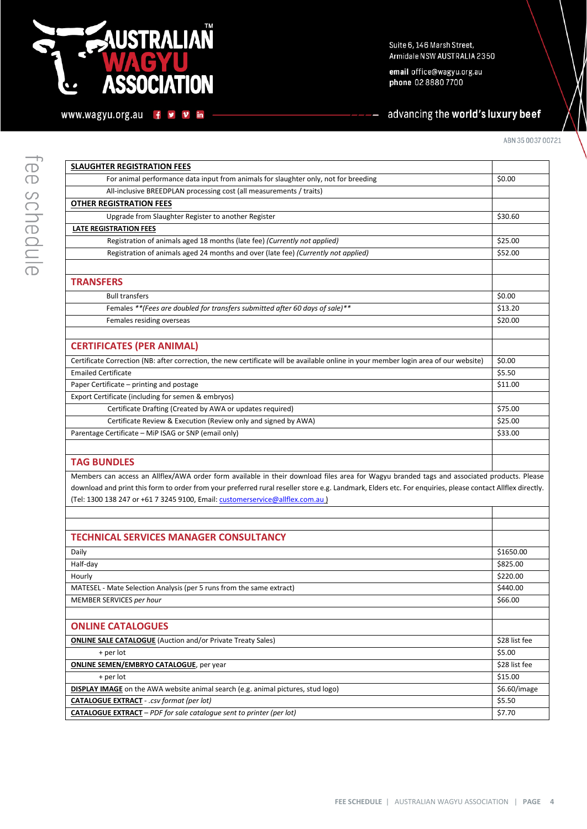# **NUSTRALIAÑ**  $\overline{a}$ **ASSOCIATION**

www.wagyu.org.au f y v in

Suite 6, 146 Marsh Street, Armidale NSW AUSTRALIA 2350

email office@wagyu.org.au phone 02 8880 7700

# advancing the world's luxury beef

| <b>SLAUGHTER REGISTRATION FEES</b>                                                                                                                                                                                                                                                                                                                                                       |           |
|------------------------------------------------------------------------------------------------------------------------------------------------------------------------------------------------------------------------------------------------------------------------------------------------------------------------------------------------------------------------------------------|-----------|
| For animal performance data input from animals for slaughter only, not for breeding                                                                                                                                                                                                                                                                                                      | \$0.00    |
| All-inclusive BREEDPLAN processing cost (all measurements / traits)                                                                                                                                                                                                                                                                                                                      |           |
| <b>OTHER REGISTRATION FEES</b>                                                                                                                                                                                                                                                                                                                                                           |           |
| Upgrade from Slaughter Register to another Register                                                                                                                                                                                                                                                                                                                                      | \$30.60   |
| <b>LATE REGISTRATION FEES</b>                                                                                                                                                                                                                                                                                                                                                            |           |
| Registration of animals aged 18 months (late fee) (Currently not applied)                                                                                                                                                                                                                                                                                                                | \$25.00   |
| Registration of animals aged 24 months and over (late fee) (Currently not applied)                                                                                                                                                                                                                                                                                                       | \$52.00   |
|                                                                                                                                                                                                                                                                                                                                                                                          |           |
| <b>TRANSFERS</b>                                                                                                                                                                                                                                                                                                                                                                         |           |
| <b>Bull transfers</b>                                                                                                                                                                                                                                                                                                                                                                    | \$0.00    |
| Females ** (Fees are doubled for transfers submitted after 60 days of sale)**                                                                                                                                                                                                                                                                                                            | \$13.20   |
| Females residing overseas                                                                                                                                                                                                                                                                                                                                                                | \$20.00   |
|                                                                                                                                                                                                                                                                                                                                                                                          |           |
| <b>CERTIFICATES (PER ANIMAL)</b>                                                                                                                                                                                                                                                                                                                                                         |           |
| Certificate Correction (NB: after correction, the new certificate will be available online in your member login area of our website)                                                                                                                                                                                                                                                     | \$0.00    |
| <b>Emailed Certificate</b>                                                                                                                                                                                                                                                                                                                                                               | \$5.50    |
| Paper Certificate - printing and postage                                                                                                                                                                                                                                                                                                                                                 | \$11.00   |
| Export Certificate (including for semen & embryos)                                                                                                                                                                                                                                                                                                                                       |           |
| Certificate Drafting (Created by AWA or updates required)                                                                                                                                                                                                                                                                                                                                | \$75.00   |
| Certificate Review & Execution (Review only and signed by AWA)                                                                                                                                                                                                                                                                                                                           | \$25.00   |
| Parentage Certificate - MiP ISAG or SNP (email only)                                                                                                                                                                                                                                                                                                                                     | \$33.00   |
|                                                                                                                                                                                                                                                                                                                                                                                          |           |
| <b>TAG BUNDLES</b>                                                                                                                                                                                                                                                                                                                                                                       |           |
| Members can access an Allflex/AWA order form available in their download files area for Wagyu branded tags and associated products. Please<br>download and print this form to order from your preferred rural reseller store e.g. Landmark, Elders etc. For enquiries, please contact Allflex directly.<br>(Tel: 1300 138 247 or +61 7 3245 9100, Email: customerservice@allflex.com.au) |           |
|                                                                                                                                                                                                                                                                                                                                                                                          |           |
|                                                                                                                                                                                                                                                                                                                                                                                          |           |
| <b>TECHNICAL SERVICES MANAGER CONSULTANCY</b>                                                                                                                                                                                                                                                                                                                                            |           |
| Daily                                                                                                                                                                                                                                                                                                                                                                                    | \$1650.00 |
| Half-day                                                                                                                                                                                                                                                                                                                                                                                 | \$825.00  |
| Hourly                                                                                                                                                                                                                                                                                                                                                                                   | \$220.00  |
| MATESEL - Mate Selection Analysis (per 5 runs from the same extract)                                                                                                                                                                                                                                                                                                                     | \$440.00  |

**ONLINE CATALOGLIFE** 

MEMBER SERVICES per hour

| <b>ONLINE CATALOGUES</b>                                                                |               |
|-----------------------------------------------------------------------------------------|---------------|
| <b>ONLINE SALE CATALOGUE</b> (Auction and/or Private Treaty Sales)                      | \$28 list fee |
| + per lot                                                                               | \$5.00        |
| <b>ONLINE SEMEN/EMBRYO CATALOGUE, per year</b>                                          | \$28 list fee |
| + per lot                                                                               | \$15.00       |
| <b>DISPLAY IMAGE</b> on the AWA website animal search (e.g. animal pictures, stud logo) | \$6.60/image  |
| <b>CATALOGUE EXTRACT</b> - .csv format (per lot)                                        | \$5.50        |
| <b>CATALOGUE EXTRACT</b> – PDF for sale catalogue sent to printer (per lot)             | \$7.70        |

\$66.00